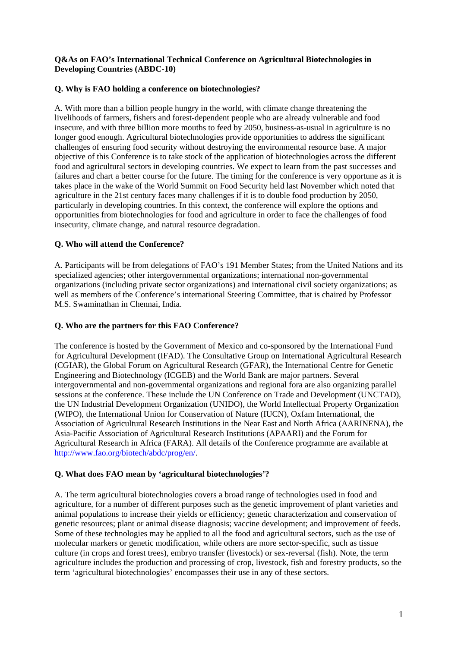#### **Q&As on FAO's International Technical Conference on Agricultural Biotechnologies in Developing Countries (ABDC-10)**

### **Q. Why is FAO holding a conference on biotechnologies?**

A. With more than a billion people hungry in the world, with climate change threatening the livelihoods of farmers, fishers and forest-dependent people who are already vulnerable and food insecure, and with three billion more mouths to feed by 2050, business-as-usual in agriculture is no longer good enough. Agricultural biotechnologies provide opportunities to address the significant challenges of ensuring food security without destroying the environmental resource base. A major objective of this Conference is to take stock of the application of biotechnologies across the different food and agricultural sectors in developing countries. We expect to learn from the past successes and failures and chart a better course for the future. The timing for the conference is very opportune as it is takes place in the wake of the World Summit on Food Security held last November which noted that agriculture in the 21st century faces many challenges if it is to double food production by 2050, particularly in developing countries. In this context, the conference will explore the options and opportunities from biotechnologies for food and agriculture in order to face the challenges of food insecurity, climate change, and natural resource degradation.

# **Q. Who will attend the Conference?**

A. Participants will be from delegations of FAO's 191 Member States; from the United Nations and its specialized agencies; other intergovernmental organizations; international non-governmental organizations (including private sector organizations) and international civil society organizations; as well as members of the Conference's international Steering Committee, that is chaired by [Professor](http://www.mssrf.org/about_us/about_chairman.htm)  [M.S. Swaminathan](http://www.mssrf.org/about_us/about_chairman.htm) in Chennai, India.

### **Q. Who are the partners for this FAO Conference?**

The conference is hosted by the Government of Mexico and co-sponsored by the International Fund for Agricultural Development (IFAD). The Consultative Group on International Agricultural Research (CGIAR), the Global Forum on Agricultural Research (GFAR), the International Centre for Genetic Engineering and Biotechnology (ICGEB) and the World Bank are major partners. Several intergovernmental and non-governmental organizations and regional fora are also organizing parallel sessions at the conference. These include the UN Conference on Trade and Development (UNCTAD), the UN Industrial Development Organization (UNIDO), the World Intellectual Property Organization (WIPO), the International Union for Conservation of Nature (IUCN), Oxfam International, the Association of Agricultural Research Institutions in the Near East and North Africa (AARINENA), the Asia-Pacific Association of Agricultural Research Institutions (APAARI) and the Forum for Agricultural Research in Africa (FARA). All details of the Conference programme are available at <http://www.fao.org/biotech/abdc/prog/en/>.

### **Q. What does FAO mean by 'agricultural biotechnologies'?**

A. The term agricultural biotechnologies covers a broad range of technologies used in food and agriculture, for a number of different purposes such as the genetic improvement of plant varieties and animal populations to increase their yields or efficiency; genetic characterization and conservation of genetic resources; plant or animal disease diagnosis; vaccine development; and improvement of feeds. Some of these technologies may be applied to all the food and agricultural sectors, such as the use of molecular markers or genetic modification, while others are more sector-specific, such as tissue culture (in crops and forest trees), embryo transfer (livestock) or sex-reversal (fish). Note, the term agriculture includes the production and processing of crop, livestock, fish and forestry products, so the term 'agricultural biotechnologies' encompasses their use in any of these sectors.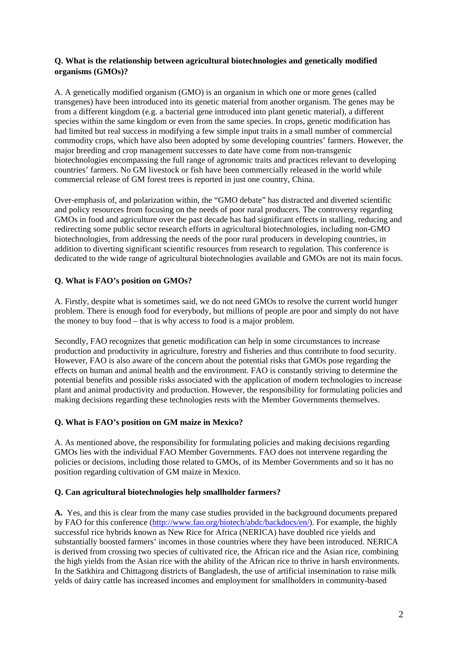### **Q. What is the relationship between agricultural biotechnologies and genetically modified organisms (GMOs)?**

A. A genetically modified organism (GMO) is an organism in which one or more genes (called transgenes) have been introduced into its genetic material from another organism. The genes may be from a different kingdom (e.g. a bacterial gene introduced into plant genetic material), a different species within the same kingdom or even from the same species. In crops, genetic modification has had limited but real success in modifying a few simple input traits in a small number of commercial commodity crops, which have also been adopted by some developing countries' farmers. However, the major breeding and crop management successes to date have come from non-transgenic biotechnologies encompassing the full range of agronomic traits and practices relevant to developing countries' farmers. No GM livestock or fish have been commercially released in the world while commercial release of GM forest trees is reported in just one country, China.

Over-emphasis of, and polarization within, the "GMO debate" has distracted and diverted scientific and policy resources from focusing on the needs of poor rural producers. The controversy regarding GMOs in food and agriculture over the past decade has had significant effects in stalling, reducing and redirecting some public sector research efforts in agricultural biotechnologies, including non-GMO biotechnologies, from addressing the needs of the poor rural producers in developing countries, in addition to diverting significant scientific resources from research to regulation. This conference is dedicated to the wide range of agricultural biotechnologies available and GMOs are not its main focus.

### **Q. What is FAO's position on GMOs?**

A. Firstly, despite what is sometimes said, we do not need GMOs to resolve the current world hunger problem. There is enough food for everybody, but millions of people are poor and simply do not have the money to buy food – that is why access to food is a major problem.

Secondly, FAO recognizes that genetic modification can help in some circumstances to increase production and productivity in agriculture, forestry and fisheries and thus contribute to food security. However, FAO is also aware of the concern about the potential risks that GMOs pose regarding the effects on human and animal health and the environment. FAO is constantly striving to determine the potential benefits and possible risks associated with the application of modern technologies to increase plant and animal productivity and production. However, the responsibility for formulating policies and making decisions regarding these technologies rests with the Member Governments themselves.

### **Q. What is FAO's position on GM maize in Mexico?**

A. As mentioned above, the responsibility for formulating policies and making decisions regarding GMOs lies with the individual FAO Member Governments. FAO does not intervene regarding the policies or decisions, including those related to GMOs, of its Member Governments and so it has no position regarding cultivation of GM maize in Mexico.

### **Q. Can agricultural biotechnologies help smallholder farmers?**

**A.** Yes, and this is clear from the many case studies provided in the background documents prepared by FAO for this conference [\(http://www.fao.org/biotech/abdc/backdocs/en/](http://www.fao.org/biotech/abdc/backdocs/en/)). For example, the highly successful rice hybrids known as New Rice for Africa (NERICA) have doubled rice yields and substantially boosted farmers' incomes in those countries where they have been introduced. NERICA is derived from crossing two species of cultivated rice, the African rice and the Asian rice, combining the high yields from the Asian rice with the ability of the African rice to thrive in harsh environments. In the Satkhira and Chittagong districts of Bangladesh, the use of artificial insemination to raise milk yelds of dairy cattle has increased incomes and employment for smallholders in community-based